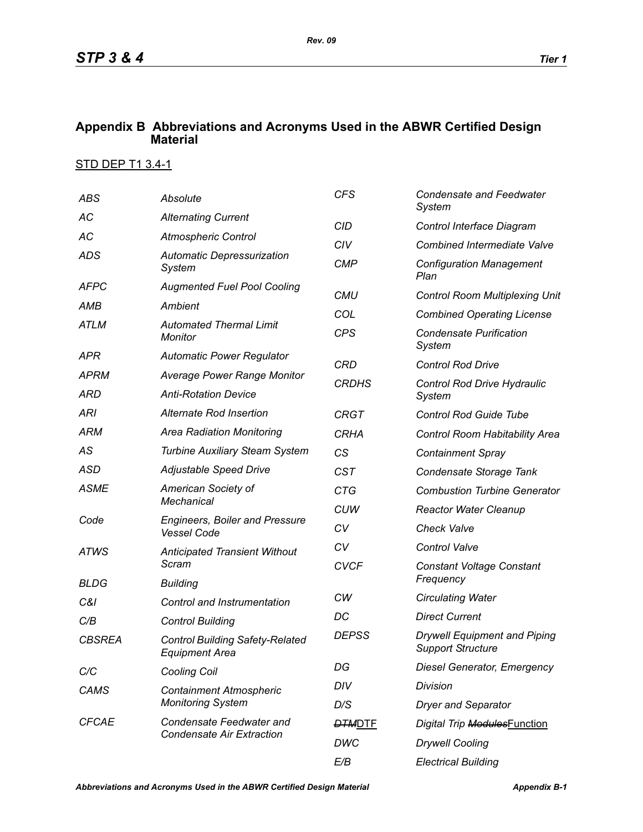## **Appendix B Abbreviations and Acronyms Used in the ABWR Certified Design Material**

## STD DEP T1 3.4-1

| <b>ABS</b>           | Absolute                                                                                                | <b>CFS</b>    | <b>Condensate and Feedwater</b><br>System                       |
|----------------------|---------------------------------------------------------------------------------------------------------|---------------|-----------------------------------------------------------------|
| АC                   | <b>Alternating Current</b>                                                                              | <b>CID</b>    | Control Interface Diagram                                       |
| AC                   | <b>Atmospheric Control</b>                                                                              | CIV           | <b>Combined Intermediate Valve</b>                              |
| <b>ADS</b>           | <b>Automatic Depressurization</b><br>System                                                             | <b>CMP</b>    | <b>Configuration Management</b><br>Plan                         |
| <b>AFPC</b>          | <b>Augmented Fuel Pool Cooling</b>                                                                      | <b>CMU</b>    | <b>Control Room Multiplexing Unit</b>                           |
| AMB                  | Ambient                                                                                                 | COL           | <b>Combined Operating License</b>                               |
| <b>ATLM</b>          | <b>Automated Thermal Limit</b><br>Monitor                                                               | <b>CPS</b>    | <b>Condensate Purification</b><br>System                        |
| APR                  | <b>Automatic Power Regulator</b>                                                                        | <b>CRD</b>    | <b>Control Rod Drive</b>                                        |
| <b>APRM</b>          | <b>Average Power Range Monitor</b>                                                                      | <b>CRDHS</b>  | Control Rod Drive Hydraulic                                     |
| ARD                  | <b>Anti-Rotation Device</b>                                                                             |               | System                                                          |
| <b>ARI</b>           | Alternate Rod Insertion                                                                                 | <b>CRGT</b>   | <b>Control Rod Guide Tube</b>                                   |
| <b>ARM</b>           | <b>Area Radiation Monitoring</b>                                                                        | <b>CRHA</b>   | Control Room Habitability Area                                  |
| AS                   | <b>Turbine Auxiliary Steam System</b>                                                                   | CS            | <b>Containment Spray</b>                                        |
| <b>ASD</b>           | Adjustable Speed Drive                                                                                  | <b>CST</b>    | Condensate Storage Tank                                         |
| <b>ASME</b><br>Code  | American Society of<br><b>Mechanical</b><br><b>Engineers, Boiler and Pressure</b><br><b>Vessel Code</b> | <b>CTG</b>    | <b>Combustion Turbine Generator</b>                             |
|                      |                                                                                                         | <b>CUW</b>    | <b>Reactor Water Cleanup</b>                                    |
|                      |                                                                                                         | CV            | <b>Check Valve</b>                                              |
| <b>ATWS</b>          | <b>Anticipated Transient Without</b>                                                                    | CV            | <b>Control Valve</b>                                            |
| <b>BLDG</b>          | Scram                                                                                                   | <b>CVCF</b>   | <b>Constant Voltage Constant</b><br>Frequency                   |
|                      | <b>Building</b>                                                                                         | CW            | <b>Circulating Water</b>                                        |
| C&I                  | Control and Instrumentation                                                                             | DC            | <b>Direct Current</b>                                           |
| C/B<br><b>CBSREA</b> | <b>Control Building</b><br><b>Control Building Safety-Related</b><br><b>Equipment Area</b>              | <b>DEPSS</b>  | <b>Drywell Equipment and Piping</b><br><b>Support Structure</b> |
| C/C                  | <b>Cooling Coil</b>                                                                                     | DG            | <b>Diesel Generator, Emergency</b>                              |
| CAMS                 | <b>Containment Atmospheric</b><br><b>Monitoring System</b>                                              | DIV           | Division                                                        |
|                      |                                                                                                         | D/S           | <b>Dryer and Separator</b>                                      |
| <b>CFCAE</b>         | Condensate Feedwater and<br><b>Condensate Air Extraction</b>                                            | <b>DTMDTE</b> | Digital Trip ModulesFunction                                    |
|                      |                                                                                                         | DWC           | <b>Drywell Cooling</b>                                          |
|                      |                                                                                                         | E/B           | <b>Electrical Building</b>                                      |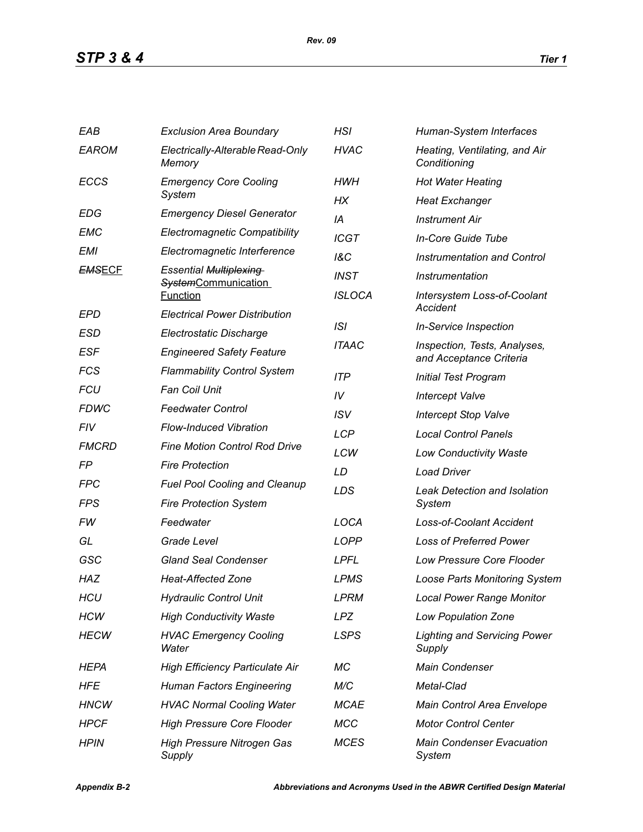| EAB           | <b>Exclusion Area Boundary</b>                | HSI            | Human-System Interfaces                                 |  |
|---------------|-----------------------------------------------|----------------|---------------------------------------------------------|--|
| <b>EAROM</b>  | Electrically-Alterable Read-Only<br>Memory    | <b>HVAC</b>    | Heating, Ventilating, and Air<br>Conditioning           |  |
| <b>ECCS</b>   | <b>Emergency Core Cooling</b>                 | <b>HWH</b>     | <b>Hot Water Heating</b>                                |  |
|               | System                                        | НX             | <b>Heat Exchanger</b>                                   |  |
| <b>EDG</b>    | <b>Emergency Diesel Generator</b>             | IA             | <b>Instrument Air</b>                                   |  |
| EMC           | <b>Electromagnetic Compatibility</b>          | <b>ICGT</b>    | In-Core Guide Tube                                      |  |
| <b>EMI</b>    | Electromagnetic Interference                  | <b>1&amp;C</b> | Instrumentation and Control                             |  |
| <b>EMSECF</b> | <b>Essential Multiplexing</b>                 | <b>INST</b>    | Instrumentation                                         |  |
|               | <b>SystemCommunication</b><br><b>Function</b> | <b>ISLOCA</b>  | <b>Intersystem Loss-of-Coolant</b>                      |  |
| EPD           | <b>Electrical Power Distribution</b>          |                | Accident                                                |  |
| ESD           | Electrostatic Discharge                       | ISI            | <b>In-Service Inspection</b>                            |  |
| <b>ESF</b>    | <b>Engineered Safety Feature</b>              | <b>ITAAC</b>   | Inspection, Tests, Analyses,<br>and Acceptance Criteria |  |
| <b>FCS</b>    | <b>Flammability Control System</b>            | <b>ITP</b>     | <b>Initial Test Program</b>                             |  |
| <b>FCU</b>    | <b>Fan Coil Unit</b>                          | IV             | <b>Intercept Valve</b>                                  |  |
| <b>FDWC</b>   | <b>Feedwater Control</b>                      | <b>ISV</b>     | <b>Intercept Stop Valve</b>                             |  |
| FIV           | <b>Flow-Induced Vibration</b>                 | <b>LCP</b>     | <b>Local Control Panels</b>                             |  |
| <b>FMCRD</b>  | <b>Fine Motion Control Rod Drive</b>          | LCW            | <b>Low Conductivity Waste</b>                           |  |
| FP            | <b>Fire Protection</b>                        | LD             | <b>Load Driver</b>                                      |  |
| <b>FPC</b>    | <b>Fuel Pool Cooling and Cleanup</b>          | LDS            | <b>Leak Detection and Isolation</b>                     |  |
| FPS           | <b>Fire Protection System</b>                 |                | System                                                  |  |
| FW            | Feedwater                                     | LOCA           | <b>Loss-of-Coolant Accident</b>                         |  |
| GL            | Grade Level                                   | <b>LOPP</b>    | <b>Loss of Preferred Power</b>                          |  |
| GSC           | <b>Gland Seal Condenser</b>                   | <b>LPFL</b>    | <b>Low Pressure Core Flooder</b>                        |  |
| <b>HAZ</b>    | <b>Heat-Affected Zone</b>                     | <b>LPMS</b>    | <b>Loose Parts Monitoring System</b>                    |  |
| <b>HCU</b>    | <b>Hydraulic Control Unit</b>                 | <b>LPRM</b>    | <b>Local Power Range Monitor</b>                        |  |
| <b>HCW</b>    | <b>High Conductivity Waste</b>                | <b>LPZ</b>     | <b>Low Population Zone</b>                              |  |
| <b>HECW</b>   | <b>HVAC Emergency Cooling</b><br>Water        | <b>LSPS</b>    | <b>Lighting and Servicing Power</b><br>Supply           |  |
| HEPA          | <b>High Efficiency Particulate Air</b>        | МC             | Main Condenser                                          |  |
| HFE           | <b>Human Factors Engineering</b>              | M/C            | Metal-Clad                                              |  |
| <b>HNCW</b>   | <b>HVAC Normal Cooling Water</b>              | <b>MCAE</b>    | Main Control Area Envelope                              |  |
| <b>HPCF</b>   | <b>High Pressure Core Flooder</b>             | <b>MCC</b>     | <b>Motor Control Center</b>                             |  |
| <b>HPIN</b>   | <b>High Pressure Nitrogen Gas</b><br>Supply   | <b>MCES</b>    | <b>Main Condenser Evacuation</b><br>System              |  |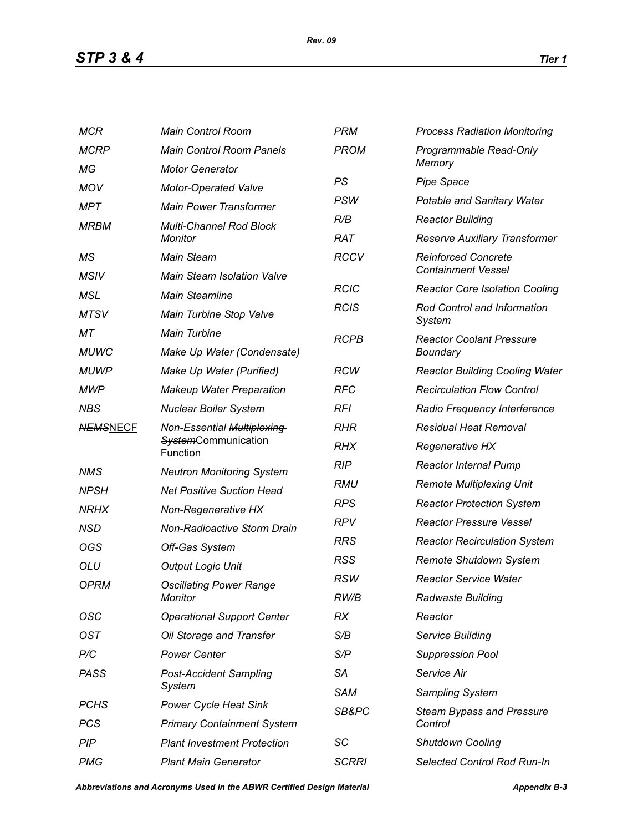*STP 3 & 4 Tier 1*

| <b>MCR</b>      | <b>Main Control Room</b>                                                    | <b>PRM</b>                                           | <b>Process Radiation Monitoring</b>                     |  |
|-----------------|-----------------------------------------------------------------------------|------------------------------------------------------|---------------------------------------------------------|--|
| <b>MCRP</b>     | <b>Main Control Room Panels</b>                                             | <b>PROM</b><br>Programmable Read-Only                |                                                         |  |
| МG              | <b>Motor Generator</b>                                                      |                                                      | Memory                                                  |  |
| <b>MOV</b>      | <b>Motor-Operated Valve</b>                                                 | PS                                                   | <b>Pipe Space</b>                                       |  |
| MPT             | <b>Main Power Transformer</b>                                               | <b>PSW</b>                                           | Potable and Sanitary Water                              |  |
| <b>MRBM</b>     | <b>Multi-Channel Rod Block</b><br>Monitor                                   | R/B                                                  | <b>Reactor Building</b>                                 |  |
|                 |                                                                             | <b>RAT</b>                                           | Reserve Auxiliary Transformer                           |  |
| МS              | <b>Main Steam</b>                                                           | <b>RCCV</b>                                          | <b>Reinforced Concrete</b><br><b>Containment Vessel</b> |  |
| <b>MSIV</b>     | <b>Main Steam Isolation Valve</b>                                           | <b>RCIC</b><br><b>Reactor Core Isolation Cooling</b> |                                                         |  |
| MSL             | <b>Main Steamline</b>                                                       |                                                      |                                                         |  |
| <b>MTSV</b>     | Main Turbine Stop Valve                                                     | <b>RCIS</b><br>Rod Control and Information<br>System |                                                         |  |
| МT              | <b>Main Turbine</b>                                                         | <b>RCPB</b>                                          | <b>Reactor Coolant Pressure</b>                         |  |
| <b>MUWC</b>     | Make Up Water (Condensate)                                                  |                                                      | Boundary                                                |  |
| <b>MUWP</b>     | Make Up Water (Purified)                                                    | <b>RCW</b>                                           | <b>Reactor Building Cooling Water</b>                   |  |
| <b>MWP</b>      | <b>Makeup Water Preparation</b>                                             | <b>RFC</b>                                           | <b>Recirculation Flow Control</b>                       |  |
| <b>NBS</b>      | <b>Nuclear Boiler System</b>                                                | <b>RFI</b>                                           | Radio Frequency Interference                            |  |
| <b>NEMSNECF</b> | Non-Essential Multiplexing<br><b>SystemCommunication</b><br><b>Function</b> | <b>RHR</b>                                           | <b>Residual Heat Removal</b>                            |  |
|                 |                                                                             | <b>RHX</b>                                           | Regenerative HX                                         |  |
| <b>NMS</b>      | <b>Neutron Monitoring System</b>                                            | <b>RIP</b>                                           | <b>Reactor Internal Pump</b>                            |  |
| <b>NPSH</b>     | <b>Net Positive Suction Head</b>                                            | RMU                                                  | <b>Remote Multiplexing Unit</b>                         |  |
| <b>NRHX</b>     | Non-Regenerative HX                                                         | <b>RPS</b>                                           | <b>Reactor Protection System</b>                        |  |
| <b>NSD</b>      | Non-Radioactive Storm Drain                                                 | <b>RPV</b>                                           | <b>Reactor Pressure Vessel</b>                          |  |
| OGS             | Off-Gas System                                                              | <b>RRS</b>                                           | <b>Reactor Recirculation System</b>                     |  |
| <b>OLU</b>      | <b>Output Logic Unit</b>                                                    | <b>RSS</b>                                           | Remote Shutdown System                                  |  |
| <b>OPRM</b>     | <b>Oscillating Power Range</b><br>Monitor                                   | <b>RSW</b>                                           | <b>Reactor Service Water</b>                            |  |
|                 |                                                                             | RW/B                                                 | <b>Radwaste Building</b>                                |  |
| OSC             | <b>Operational Support Center</b>                                           | RX                                                   | Reactor                                                 |  |
| <b>OST</b>      | Oil Storage and Transfer                                                    | S/B                                                  | Service Building                                        |  |
| P/C             | <b>Power Center</b>                                                         | S/P                                                  | <b>Suppression Pool</b>                                 |  |
| <b>PASS</b>     | <b>Post-Accident Sampling</b>                                               | <b>SA</b>                                            | Service Air                                             |  |
|                 | System                                                                      | <b>SAM</b>                                           | Sampling System                                         |  |
| <b>PCHS</b>     | <b>Power Cycle Heat Sink</b>                                                | SB&PC                                                | <b>Steam Bypass and Pressure</b>                        |  |
| <b>PCS</b>      | <b>Primary Containment System</b>                                           |                                                      | Control                                                 |  |
| PIP             | <b>Plant Investment Protection</b>                                          | SC                                                   | <b>Shutdown Cooling</b>                                 |  |
| <b>PMG</b>      | <b>Plant Main Generator</b>                                                 | <b>SCRRI</b>                                         | Selected Control Rod Run-In                             |  |